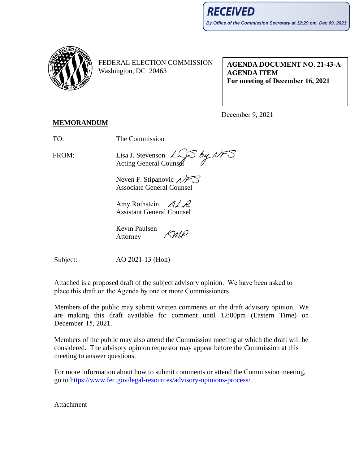

FEDERAL ELECTION COMMISSION Washington, DC 20463

**AGENDA DOCUMENT NO. 21-43-A AGENDA ITEM For meeting of December 16, 2021**

December 9, 2021

## **MEMORANDUM**

TO: The Commission

FROM:

Lisa J. Stevenson  $\angle$ Lisa J. Stevenson  $\angle$  S by NFS<br>Acting General Counsel

Neven F. Stipanovic  $\mathcal{N}$ Associate General Counsel

Amy Rothstein  $\mathcal{A}/\mathcal{A}$ Assistant General Counsel

Kevin Paulsen SMP Attorney

Subject:

AO 2021-13 (Hoh)

Attached is a proposed draft of the subject advisory opinion. We have been asked to place this draft on the Agenda by one or more Commissioners.

Members of the public may submit written comments on the draft advisory opinion. We are making this draft available for comment until 12:00pm (Eastern Time) on December 15, 2021.

Members of the public may also attend the Commission meeting at which the draft will be considered. The advisory opinion requestor may appear before the Commission at this meeting to answer questions.

For more information about how to submit comments or attend the Commission meeting, go to [https://www.fec.gov/legal-resources/advisory-opinions-process/.](https://www.fec.gov/legal-resources/advisory-opinions-process/)

Attachment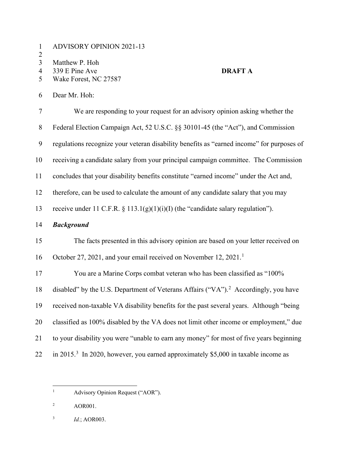- ADVISORY OPINION 2021-13
- $\frac{2}{3}$
- Matthew P. Hoh
- 
- 339 E Pine Ave **DRAFT A** Wake Forest, NC 27587

Dear Mr. Hoh:

| $\tau$ | We are responding to your request for an advisory opinion asking whether the                    |
|--------|-------------------------------------------------------------------------------------------------|
| $8\,$  | Federal Election Campaign Act, 52 U.S.C. §§ 30101-45 (the "Act"), and Commission                |
| 9      | regulations recognize your veteran disability benefits as "earned income" for purposes of       |
| 10     | receiving a candidate salary from your principal campaign committee. The Commission             |
| 11     | concludes that your disability benefits constitute "earned income" under the Act and,           |
| 12     | therefore, can be used to calculate the amount of any candidate salary that you may             |
| 13     | receive under 11 C.F.R. $\S 113.1(g)(1)(i)(I)$ (the "candidate salary regulation").             |
| 14     | <b>Background</b>                                                                               |
| 15     | The facts presented in this advisory opinion are based on your letter received on               |
| 16     | October 27, 2021, and your email received on November 12, 2021.                                 |
| 17     | You are a Marine Corps combat veteran who has been classified as "100%                          |
| 18     | disabled" by the U.S. Department of Veterans Affairs ("VA"). <sup>2</sup> Accordingly, you have |
| 19     | received non-taxable VA disability benefits for the past several years. Although "being         |
| 20     | classified as 100% disabled by the VA does not limit other income or employment," due           |
| 21     | to your disability you were "unable to earn any money" for most of five years beginning         |
| 22     | in 2015. <sup>3</sup> In 2020, however, you earned approximately \$5,000 in taxable income as   |

- <span id="page-1-0"></span><sup>1</sup> Advisory Opinion Request ("AOR").
- <span id="page-1-1"></span>AOR001.
- <span id="page-1-2"></span>*Id.*; AOR003.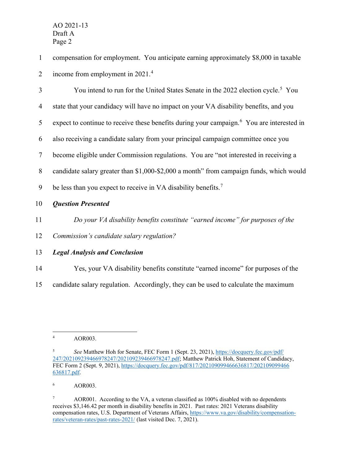1 compensation for employment. You anticipate earning approximately \$8,000 in taxable 2 income from employment in  $2021<sup>4</sup>$  $2021<sup>4</sup>$  $2021<sup>4</sup>$ 

| 3              | You intend to run for the United States Senate in the 2022 election cycle. <sup>5</sup> You           |
|----------------|-------------------------------------------------------------------------------------------------------|
| $\overline{4}$ | state that your candidacy will have no impact on your VA disability benefits, and you                 |
| 5              | expect to continue to receive these benefits during your campaign. <sup>6</sup> You are interested in |
| 6              | also receiving a candidate salary from your principal campaign committee once you                     |
| 7              | become eligible under Commission regulations. You are "not interested in receiving a                  |
| 8              | candidate salary greater than \$1,000-\$2,000 a month" from campaign funds, which would               |
| 9              | be less than you expect to receive in VA disability benefits. <sup>7</sup>                            |
| 10             | <b>Question Presented</b>                                                                             |
| 11             | Do your VA disability benefits constitute "earned income" for purposes of the                         |
| 12             | Commission's candidate salary regulation?                                                             |

## 13 *Legal Analysis and Conclusion*

- 14 Yes, your VA disability benefits constitute "earned income" for purposes of the
- 15 candidate salary regulation. Accordingly, they can be used to calculate the maximum

<span id="page-2-2"></span><sup>6</sup> AOR003.

<span id="page-2-0"></span><sup>4</sup> AOR003.

<span id="page-2-1"></span><sup>5</sup> *See* Matthew Hoh for Senate, FEC Form 1 (Sept. 23, 2021), [https://docquery.fec.gov/pdf/](https://docquery.fec.gov/pdf/%E2%80%8C247/202109239466978247/202109239466978247.pdf) [247/202109239466978247/202109239466978247.pdf;](https://docquery.fec.gov/pdf/%E2%80%8C247/202109239466978247/202109239466978247.pdf) Matthew Patrick Hoh, Statement of Candidacy, FEC Form 2 (Sept. 9, 2021), [https://docquery.fec.gov/pdf/817/202109099466636817/202109099466](https://docquery.fec.gov/pdf/817/202109099466636817/202109099466636817.pdf) [636817.pdf.](https://docquery.fec.gov/pdf/817/202109099466636817/202109099466636817.pdf)

<span id="page-2-3"></span><sup>&</sup>lt;sup>7</sup> AOR001. According to the VA, a veteran classified as 100% disabled with no dependents receives \$3,146.42 per month in disability benefits in 2021. Past rates: 2021 Veterans disability compensation rates, U.S. Department of Veterans Affairs, [https://www.va.gov/disability/compensation](https://www.va.gov/disability/compensation-rates/veteran-rates/past-rates-2021/)[rates/veteran-rates/past-rates-2021/](https://www.va.gov/disability/compensation-rates/veteran-rates/past-rates-2021/) (last visited Dec. 7, 2021).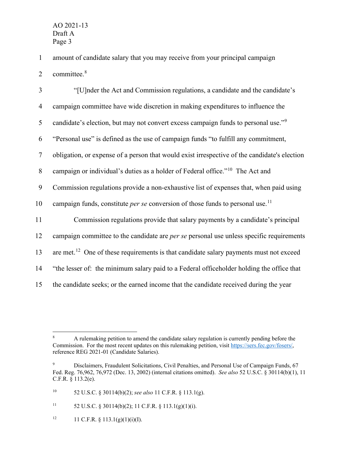1 amount of candidate salary that you may receive from your principal campaign 2 committee.<sup>[8](#page-3-0)</sup>

| 3              | "[U]nder the Act and Commission regulations, a candidate and the candidate's                       |
|----------------|----------------------------------------------------------------------------------------------------|
| $\overline{4}$ | campaign committee have wide discretion in making expenditures to influence the                    |
| 5              | candidate's election, but may not convert excess campaign funds to personal use." <sup>9</sup>     |
| 6              | "Personal use" is defined as the use of campaign funds "to fulfill any commitment,                 |
| $\tau$         | obligation, or expense of a person that would exist irrespective of the candidate's election       |
| 8              | campaign or individual's duties as a holder of Federal office." <sup>10</sup> The Act and          |
| 9              | Commission regulations provide a non-exhaustive list of expenses that, when paid using             |
| 10             | campaign funds, constitute <i>per se</i> conversion of those funds to personal use. <sup>11</sup>  |
| 11             | Commission regulations provide that salary payments by a candidate's principal                     |
| 12             | campaign committee to the candidate are <i>per se</i> personal use unless specific requirements    |
| 13             | are met. <sup>12</sup> One of these requirements is that candidate salary payments must not exceed |
| 14             | "the lesser of: the minimum salary paid to a Federal officeholder holding the office that          |
| 15             | the candidate seeks; or the earned income that the candidate received during the year              |

<span id="page-3-0"></span><sup>&</sup>lt;sup>8</sup> A rulemaking petition to amend the candidate salary regulation is currently pending before the Commission. For the most recent updates on this rulemaking petition, visit [https://sers.fec.gov/fosers/,](https://sers.fec.gov/fosers/) reference REG 2021-01 (Candidate Salaries).

<span id="page-3-1"></span><sup>9</sup> Disclaimers, Fraudulent Solicitations, Civil Penalties, and Personal Use of Campaign Funds, 67 Fed. Reg. 76,962, 76,972 (Dec. 13, 2002) (internal citations omitted). *See also* 52 U.S.C. § 30114(b)(1), 11 C.F.R. § 113.2(e).

<span id="page-3-2"></span><sup>10</sup> 52 U.S.C. § 30114(b)(2); *see also* 11 C.F.R. § 113.1(g).

<span id="page-3-3"></span><sup>&</sup>lt;sup>11</sup> 52 U.S.C. § 30114(b)(2); 11 C.F.R. § 113.1(g)(1)(i).

<span id="page-3-4"></span><sup>&</sup>lt;sup>12</sup> 11 C.F.R. § 113.1(g)(1)(i)(I).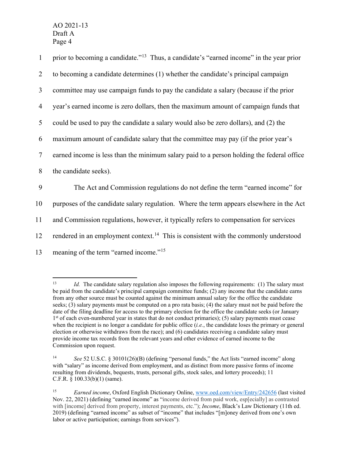| $\mathbf{1}$   | prior to becoming a candidate." <sup>13</sup> Thus, a candidate's "earned income" in the year prior |
|----------------|-----------------------------------------------------------------------------------------------------|
| $\overline{2}$ | to becoming a candidate determines (1) whether the candidate's principal campaign                   |
| 3              | committee may use campaign funds to pay the candidate a salary (because if the prior                |
| $\overline{4}$ | year's earned income is zero dollars, then the maximum amount of campaign funds that                |
| 5              | could be used to pay the candidate a salary would also be zero dollars), and (2) the                |
| 6              | maximum amount of candidate salary that the committee may pay (if the prior year's                  |
| $\overline{7}$ | earned income is less than the minimum salary paid to a person holding the federal office           |
| 8              | the candidate seeks).                                                                               |
| 9              | The Act and Commission regulations do not define the term "earned income" for                       |
| 10             | purposes of the candidate salary regulation. Where the term appears elsewhere in the Act            |
| 11             | and Commission regulations, however, it typically refers to compensation for services               |
| 12             | rendered in an employment context. <sup>14</sup> This is consistent with the commonly understood    |
| 13             | meaning of the term "earned income." <sup>15</sup>                                                  |
|                |                                                                                                     |

<span id="page-4-0"></span><sup>&</sup>lt;sup>13</sup> *Id.* The candidate salary regulation also imposes the following requirements: (1) The salary must be paid from the candidate's principal campaign committee funds; (2) any income that the candidate earns from any other source must be counted against the minimum annual salary for the office the candidate seeks; (3) salary payments must be computed on a pro rata basis; (4) the salary must not be paid before the date of the filing deadline for access to the primary election for the office the candidate seeks (or January 1st of each even-numbered year in states that do not conduct primaries); (5) salary payments must cease when the recipient is no longer a candidate for public office (*i.e.*, the candidate loses the primary or general election or otherwise withdraws from the race); and (6) candidates receiving a candidate salary must provide income tax records from the relevant years and other evidence of earned income to the Commission upon request.

<span id="page-4-1"></span> $14$ See 52 U.S.C. § 30101(26)(B) (defining "personal funds," the Act lists "earned income" along with "salary" as income derived from employment, and as distinct from more passive forms of income resulting from dividends, bequests, trusts, personal gifts, stock sales, and lottery proceeds); 11 C.F.R. § 100.33(b)(1) (same).

<span id="page-4-2"></span><sup>15</sup> *Earned income*, Oxford English Dictionary Online[, www.oed.com/view/Entry/242656](http://www.oed.com/view/Entry/242656) (last visited Nov. 22, 2021) (defining "earned income" as "income derived from paid work, esp[ecially] as contrasted with [income] derived from property, interest payments, etc."); *Income*, Black's Law Dictionary (11th ed. 2019) (defining "earned income" as subset of "income" that includes "[m]oney derived from one's own labor or active participation; earnings from services").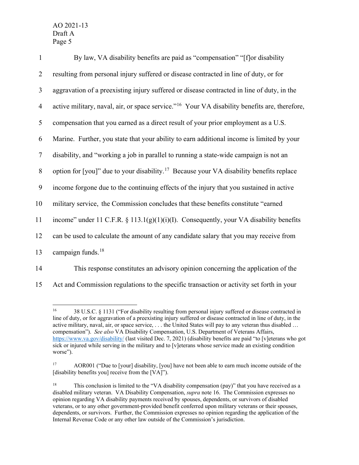| $\mathbf{1}$   | By law, VA disability benefits are paid as "compensation" "[f] or disability                              |
|----------------|-----------------------------------------------------------------------------------------------------------|
| $\overline{2}$ | resulting from personal injury suffered or disease contracted in line of duty, or for                     |
| $\mathfrak{Z}$ | aggravation of a preexisting injury suffered or disease contracted in line of duty, in the                |
| $\overline{4}$ | active military, naval, air, or space service." <sup>16</sup> Your VA disability benefits are, therefore, |
| 5              | compensation that you earned as a direct result of your prior employment as a U.S.                        |
| 6              | Marine. Further, you state that your ability to earn additional income is limited by your                 |
| $\tau$         | disability, and "working a job in parallel to running a state-wide campaign is not an                     |
| $8\,$          | option for [you]" due to your disability. <sup>17</sup> Because your VA disability benefits replace       |
| 9              | income forgone due to the continuing effects of the injury that you sustained in active                   |
| 10             | military service, the Commission concludes that these benefits constitute "earned                         |
| 11             | income" under 11 C.F.R. § 113.1(g)(1)(i)(I). Consequently, your VA disability benefits                    |
| 12             | can be used to calculate the amount of any candidate salary that you may receive from                     |
| 13             | campaign funds. $18$                                                                                      |
| 14             | This response constitutes an advisory opinion concerning the application of the                           |

<span id="page-5-0"></span>15 Act and Commission regulations to the specific transaction or activity set forth in your

<sup>16</sup> 38 U.S.C. § 1131 ("For disability resulting from personal injury suffered or disease contracted in line of duty, or for aggravation of a preexisting injury suffered or disease contracted in line of duty, in the active military, naval, air, or space service, . . . the United States will pay to any veteran thus disabled … compensation"). *See also* VA Disability Compensation, U.S. Department of Veterans Affairs, <https://www.va.gov/disability/> (last visited Dec. 7, 2021) (disability benefits are paid "to [v]eterans who got sick or injured while serving in the military and to [v]eterans whose service made an existing condition worse").

<span id="page-5-1"></span><sup>&</sup>lt;sup>17</sup> AOR001 ("Due to [your] disability, [you] have not been able to earn much income outside of the [disability benefits you] receive from the [VA]").

<span id="page-5-2"></span><sup>&</sup>lt;sup>18</sup> This conclusion is limited to the "VA disability compensation (pay)" that you have received as a disabled military veteran. VA Disability Compensation, *supra* note 16. The Commission expresses no opinion regarding VA disability payments received by spouses, dependents, or survivors of disabled veterans, or to any other government-provided benefit conferred upon military veterans or their spouses, dependents, or survivors. Further, the Commission expresses no opinion regarding the application of the Internal Revenue Code or any other law outside of the Commission's jurisdiction.